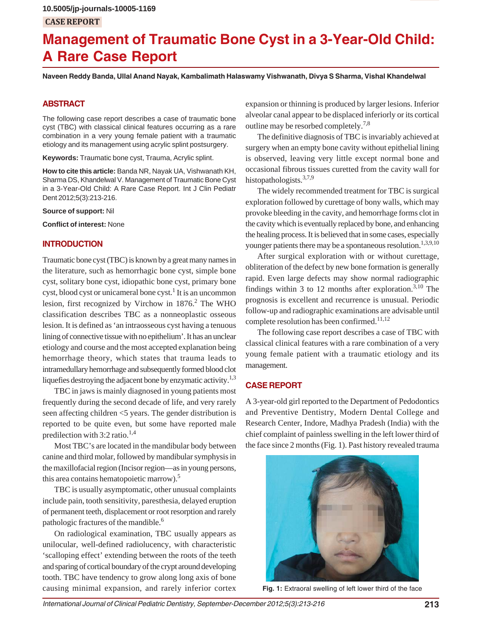# **Management of Traumatic Bone Cyst in a 3-Year-Old Child: A Rare Case Report**

**Naveen Reddy Banda, Ullal Anand Nayak, Kambalimath Halaswamy Vishwanath, Divya S Sharma, Vishal Khandelwal**

# **ABSTRACT**

The following case report describes a case of traumatic bone cyst (TBC) with classical clinical features occurring as a rare combination in a very young female patient with a traumatic etiology and its management using acrylic splint postsurgery.

**Keywords:** Traumatic bone cyst, Trauma, Acrylic splint.

**How to cite this article:** Banda NR, Nayak UA, Vishwanath KH, Sharma DS, Khandelwal V. Management of Traumatic Bone Cyst in a 3-Year-Old Child: A Rare Case Report. Int J Clin Pediatr Dent 2012;5(3):213-216.

**Source of support:** Nil

**Conflict of interest:** None

### **INTRODUCTION**

Traumatic bone cyst (TBC) is known by a great many names in the literature, such as hemorrhagic bone cyst, simple bone cyst, solitary bone cyst, idiopathic bone cyst, primary bone cyst, blood cyst or unicameral bone cyst. $^1$  It is an uncommon lesion, first recognized by Virchow in  $1876<sup>2</sup>$  The WHO classification describes TBC as a nonneoplastic osseous lesion. It is defined as 'an intraosseous cyst having a tenuous lining of connective tissue with no epithelium'. It has an unclear etiology and course and the most accepted explanation being hemorrhage theory, which states that trauma leads to intramedullary hemorrhage and subsequently formed blood clot liquefies destroying the adjacent bone by enzymatic activity.<sup>1,3</sup>

TBC in jaws is mainly diagnosed in young patients most frequently during the second decade of life, and very rarely seen affecting children <5 years. The gender distribution is reported to be quite even, but some have reported male predilection with  $3:2$  ratio.<sup>1,4</sup>

Most TBC's are located in the mandibular body between canine and third molar, followed by mandibular symphysis in the maxillofacial region (Incisor region—as in young persons, this area contains hematopoietic marrow).<sup>5</sup>

TBC is usually asymptomatic, other unusual complaints include pain, tooth sensitivity, paresthesia, delayed eruption of permanent teeth, displacement or root resorption and rarely pathologic fractures of the mandible.6

On radiological examination, TBC usually appears as unilocular, well-defined radiolucency, with characteristic 'scalloping effect' extending between the roots of the teeth and sparing of cortical boundary of the crypt around developing tooth. TBC have tendency to grow along long axis of bone causing minimal expansion, and rarely inferior cortex

expansion or thinning is produced by larger lesions. Inferior alveolar canal appear to be displaced inferiorly or its cortical outline may be resorbed completely.7,8

The definitive diagnosis of TBC is invariably achieved at surgery when an empty bone cavity without epithelial lining is observed, leaving very little except normal bone and occasional fibrous tissues curetted from the cavity wall for histopathologists.<sup>3,7,9</sup>

The widely recommended treatment for TBC is surgical exploration followed by curettage of bony walls, which may provoke bleeding in the cavity, and hemorrhage forms clot in the cavity which is eventually replaced by bone, and enhancing the healing process. It is believed that in some cases, especially younger patients there may be a spontaneous resolution.<sup>1,3,9,10</sup>

After surgical exploration with or without curettage, obliteration of the defect by new bone formation is generally rapid. Even large defects may show normal radiographic findings within 3 to 12 months after exploration.<sup>3,10</sup> The prognosis is excellent and recurrence is unusual. Periodic follow-up and radiographic examinations are advisable until complete resolution has been confirmed.<sup>11,12</sup>

The following case report describes a case of TBC with classical clinical features with a rare combination of a very young female patient with a traumatic etiology and its management.

## **CASE REPORT**

A 3-year-old girl reported to the Department of Pedodontics and Preventive Dentistry, Modern Dental College and Research Center, Indore, Madhya Pradesh (India) with the chief complaint of painless swelling in the left lower third of the face since 2 months (Fig. 1). Past history revealed trauma



Fig. 1: Extraoral swelling of left lower third of the face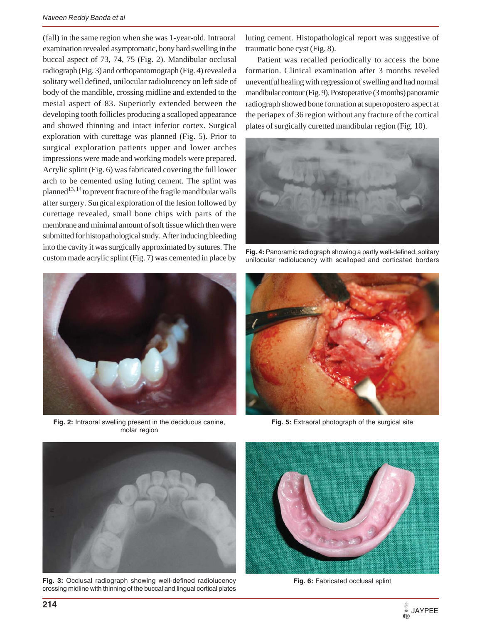(fall) in the same region when she was 1-year-old. Intraoral examination revealed asymptomatic, bony hard swelling in the buccal aspect of 73, 74, 75 (Fig. 2). Mandibular occlusal radiograph (Fig. 3) and orthopantomograph (Fig. 4) revealed a solitary well defined, unilocular radiolucency on left side of body of the mandible, crossing midline and extended to the mesial aspect of 83. Superiorly extended between the developing tooth follicles producing a scalloped appearance and showed thinning and intact inferior cortex. Surgical exploration with curettage was planned (Fig. 5). Prior to surgical exploration patients upper and lower arches impressions were made and working models were prepared. Acrylic splint (Fig. 6) was fabricated covering the full lower arch to be cemented using luting cement. The splint was planned<sup>13, 14</sup> to prevent fracture of the fragile mandibular walls after surgery. Surgical exploration of the lesion followed by curettage revealed, small bone chips with parts of the membrane and minimal amount of soft tissue which then were submitted for histopathological study. After inducing bleeding into the cavity it was surgically approximated by sutures. The custom made acrylic splint (Fig. 7) was cemented in place by



**Fig. 2:** Intraoral swelling present in the deciduous canine, molar region

luting cement. Histopathological report was suggestive of traumatic bone cyst (Fig. 8).

Patient was recalled periodically to access the bone formation. Clinical examination after 3 months reveled uneventful healing with regression of swelling and had normal mandibular contour (Fig. 9). Postoperative (3 months) panoramic radiograph showed bone formation at superopostero aspect at the periapex of 36 region without any fracture of the cortical plates of surgically curetted mandibular region (Fig. 10).



**Fig. 4:** Panoramic radiograph showing a partly well-defined, solitary unilocular radiolucency with scalloped and corticated borders



**Fig. 5:** Extraoral photograph of the surgical site



**Fig. 3:** Occlusal radiograph showing well-defined radiolucency crossing midline with thinning of the buccal and lingual cortical plates



Fig. 6: Fabricated occlusal splint

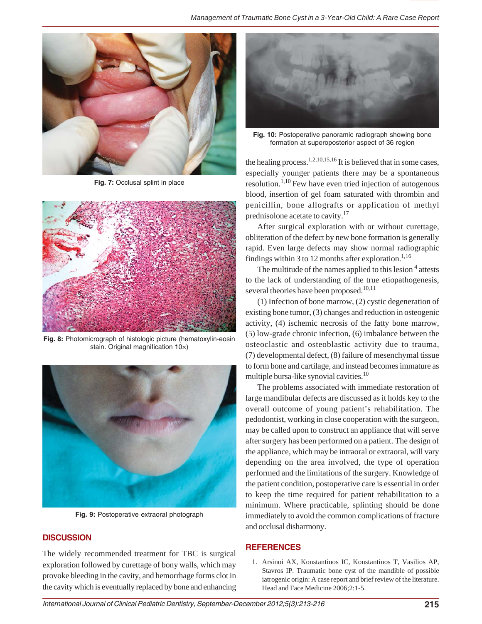

**Fig. 7:** Occlusal splint in place



**Fig. 8:** Photomicrograph of histologic picture (hematoxylin-eosin stain. Original magnification 10×)



**Fig. 9:** Postoperative extraoral photograph

## **DISCUSSION**

The widely recommended treatment for TBC is surgical exploration followed by curettage of bony walls, which may provoke bleeding in the cavity, and hemorrhage forms clot in the cavity which is eventually replaced by bone and enhancing



**Fig. 10:** Postoperative panoramic radiograph showing bone formation at superoposterior aspect of 36 region

the healing process.<sup>1,2,10,15,16</sup> It is believed that in some cases, especially younger patients there may be a spontaneous resolution.<sup>1,10</sup> Few have even tried injection of autogenous blood, insertion of gel foam saturated with thrombin and penicillin, bone allografts or application of methyl prednisolone acetate to cavity.17

After surgical exploration with or without curettage, obliteration of the defect by new bone formation is generally rapid. Even large defects may show normal radiographic findings within 3 to 12 months after exploration.<sup>1,16</sup>

The multitude of the names applied to this lesion <sup>4</sup> attests to the lack of understanding of the true etiopathogenesis, several theories have been proposed.<sup>10,11</sup>

(1) Infection of bone marrow, (2) cystic degeneration of existing bone tumor, (3) changes and reduction in osteogenic activity, (4) ischemic necrosis of the fatty bone marrow, (5) low-grade chronic infection, (6) imbalance between the osteoclastic and osteoblastic activity due to trauma, (7) developmental defect, (8) failure of mesenchymal tissue to form bone and cartilage, and instead becomes immature as multiple bursa-like synovial cavities.10

The problems associated with immediate restoration of large mandibular defects are discussed as it holds key to the overall outcome of young patient's rehabilitation. The pedodontist, working in close cooperation with the surgeon, may be called upon to construct an appliance that will serve after surgery has been performed on a patient. The design of the appliance, which may be intraoral or extraoral, will vary depending on the area involved, the type of operation performed and the limitations of the surgery. Knowledge of the patient condition, postoperative care is essential in order to keep the time required for patient rehabilitation to a minimum. Where practicable, splinting should be done immediately to avoid the common complications of fracture and occlusal disharmony.

#### **REFERENCES**

1. Arsinoi AX, Konstantinos IC, Konstantinos T, Vasilios AP, Stavros IP. Traumatic bone cyst of the mandible of possible iatrogenic origin: A case report and brief review of the literature. Head and Face Medicine 2006;2:1-5.